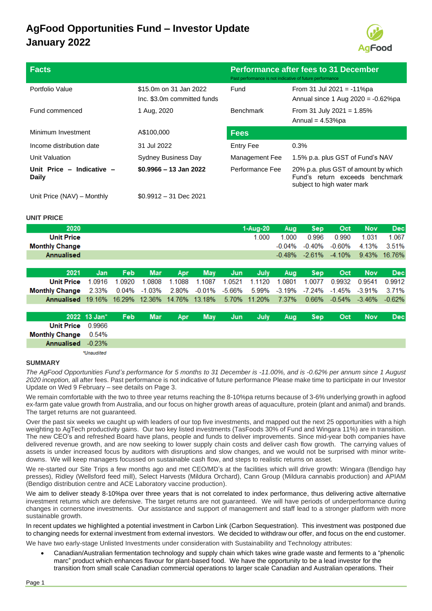# **AgFood Opportunities Fund – Investor Update January 2022**

Unit Price (NAV) – Monthly \$0.9912 – 31 Dec 2021



| <b>Facts</b>                       |                                                       | <b>Performance after fees to 31 December</b><br>Past performance is not indicative of future performance |                                                                                                       |  |  |
|------------------------------------|-------------------------------------------------------|----------------------------------------------------------------------------------------------------------|-------------------------------------------------------------------------------------------------------|--|--|
| Portfolio Value                    | \$15.0m on 31 Jan 2022<br>Inc. \$3.0m committed funds | Fund                                                                                                     | From 31 Jul 2021 = $-11\%$ pa<br>Annual since 1 Aug $2020 = -0.62\%$ pa                               |  |  |
| Fund commenced                     | 1 Aug, 2020                                           | <b>Benchmark</b>                                                                                         | From 31 July 2021 = $1.85\%$<br>Annual = $4.53\%$ pa                                                  |  |  |
| Minimum Investment                 | A\$100,000                                            | <b>Fees</b>                                                                                              |                                                                                                       |  |  |
| Income distribution date           | 31 Jul 2022                                           | <b>Entry Fee</b>                                                                                         | 0.3%                                                                                                  |  |  |
| Unit Valuation                     | <b>Sydney Business Day</b>                            | Management Fee                                                                                           | 1.5% p.a. plus GST of Fund's NAV                                                                      |  |  |
| Unit Price - Indicative -<br>Daily | $$0.9966 - 13$ Jan 2022                               | Performance Fee                                                                                          | 20% p.a. plus GST of amount by which<br>Fund's return exceeds benchmark<br>subject to high water mark |  |  |

#### **UNIT PRICE**

| 2020                  |              |            |            |        |            |          | 1-Aug-20 | Aug      | <b>Sep</b> | Oct      | <b>Nov</b> | <b>Dec</b> |
|-----------------------|--------------|------------|------------|--------|------------|----------|----------|----------|------------|----------|------------|------------|
| <b>Unit Price</b>     |              |            |            |        |            |          | 1.000    | 1.000    | 0.996      | 0.990    | 1.031      | 1.067      |
| <b>Monthly Change</b> |              |            |            |        |            |          |          | $-0.04%$ | $-0.40%$   | $-0.60%$ | 4.13%      | 3.51%      |
| Annualised            |              |            |            |        |            |          |          | $-0.48%$ | $-2.61%$   | $-4.10%$ | 9.43%      | 16.76%     |
|                       |              |            |            |        |            |          |          |          |            |          |            |            |
| 2021                  | Jan          | <b>Feb</b> | <b>Mar</b> | Apr    | <b>May</b> | Jun      | July     | Aug      | <b>Sep</b> | Oct      | <b>Nov</b> | <b>Dec</b> |
| <b>Unit Price</b>     | 1 0916       | 1.0920     | 1.0808     | 1.1088 | 1.1087     | 1.0521   | 1.1120   | 1.0801   | 1.0077     | 0.9932   | 0.9541     | 0.9912     |
| <b>Monthly Change</b> | 2.33%        | 0.04%      | $-1.03%$   | 2.80%  | $-0.01%$   | $-5.66%$ | 5.99%    | $-3.19%$ | $-7.24%$   | $-1.45%$ | $-3.91%$   | 3.71%      |
| Annualised            | 19.16%       | 16.29%     | 12.36%     | 14.76% | 13.18%     | 5.70%    | 11.20%   | 7.37%    | 0.66%      | $-0.54%$ | $-3.46%$   | $-0.62%$   |
|                       |              |            |            |        |            |          |          |          |            |          |            |            |
|                       | 2022 13 Jan* | Feb        | <b>Mar</b> | Apr    | <b>May</b> | Jun      | July     | Aug      | <b>Sep</b> | Oct      | <b>Nov</b> | <b>Dec</b> |
| <b>Unit Price</b>     | 0.9966       |            |            |        |            |          |          |          |            |          |            |            |
| <b>Monthly Change</b> | 0.54%        |            |            |        |            |          |          |          |            |          |            |            |
| <b>Annualised</b>     | $-0.23%$     |            |            |        |            |          |          |          |            |          |            |            |
|                       | *Unaudited   |            |            |        |            |          |          |          |            |          |            |            |

#### **SUMMARY**

*The AgFood Opportunities Fund's performance for 5 months to 31 December is -11.00%, and is -0.62% per annum since 1 August 2020 inception,* all after fees. Past performance is not indicative of future performance Please make time to participate in our Investor Update on Wed 9 February – see details on Page 3.

We remain comfortable with the two to three year returns reaching the 8-10%pa returns because of 3-6% underlying growth in agfood ex-farm gate value growth from Australia, and our focus on higher growth areas of aquaculture, protein (plant and animal) and brands. The target returns are not guaranteed.

Over the past six weeks we caught up with leaders of our top five investments, and mapped out the next 25 opportunities with a high weighting to AgTech productivity gains. Our two key listed investments (TasFoods 30% of Fund and Wingara 11%) are in transition. The new CEO's and refreshed Board have plans, people and funds to deliver improvements. Since mid-year both companies have delivered revenue growth, and are now seeking to lower supply chain costs and deliver cash flow growth. The carrying values of assets is under increased focus by auditors with disruptions and slow changes, and we would not be surprised with minor writedowns. We will keep managers focussed on sustainable cash flow, and steps to realistic returns on asset.

We re-started our Site Trips a few months ago and met CEO/MD's at the facilities which will drive growth: Wingara (Bendigo hay presses), Ridley (Wellsford feed mill), Select Harvests (Mildura Orchard), Cann Group (Mildura cannabis production) and APIAM (Bendigo distribution centre and ACE Laboratory vaccine production).

We aim to deliver steady 8-10%pa over three years that is not correlated to index performance, thus delivering active alternative investment returns which are defensive. The target returns are not guaranteed. We will have periods of underperformance during changes in cornerstone investments. Our assistance and support of management and staff lead to a stronger platform with more sustainable growth.

In recent updates we highlighted a potential investment in Carbon Link (Carbon Sequestration). This investment was postponed due to changing needs for external investment from external investors. We decided to withdraw our offer, and focus on the end customer. We have two early-stage Unlisted Investments under consideration with Sustainability and Technology attributes:

• Canadian/Australian fermentation technology and supply chain which takes wine grade waste and ferments to a "phenolic marc" product which enhances flavour for plant-based food. We have the opportunity to be a lead investor for the transition from small scale Canadian commercial operations to larger scale Canadian and Australian operations. Their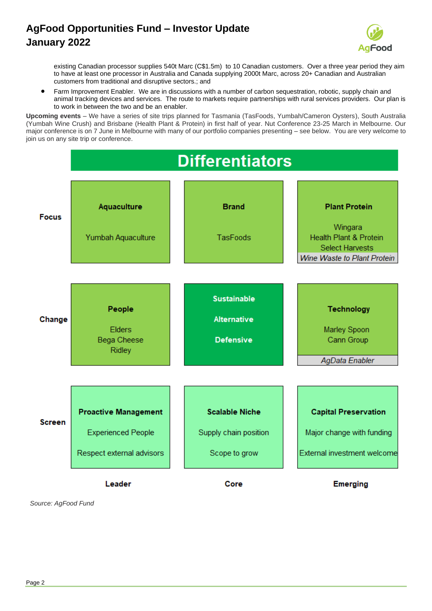# **AgFood Opportunities Fund – Investor Update January 2022**



existing Canadian processor supplies 540t Marc (C\$1.5m) to 10 Canadian customers. Over a three year period they aim to have at least one processor in Australia and Canada supplying 2000t Marc, across 20+ Canadian and Australian customers from traditional and disruptive sectors.; and

• Farm Improvement Enabler. We are in discussions with a number of carbon sequestration, robotic, supply chain and animal tracking devices and services. The route to markets require partnerships with rural services providers. Our plan is to work in between the two and be an enabler.

**Upcoming events** – We have a series of site trips planned for Tasmania (TasFoods, Yumbah/Cameron Oysters), South Australia (Yumbah Wine Crush) and Brisbane (Health Plant & Protein) in first half of year. Nut Conference 23-25 March in Melbourne. Our major conference is on 7 June in Melbourne with many of our portfolio companies presenting – see below. You are very welcome to join us on any site trip or conference.



*Source: AgFood Fund*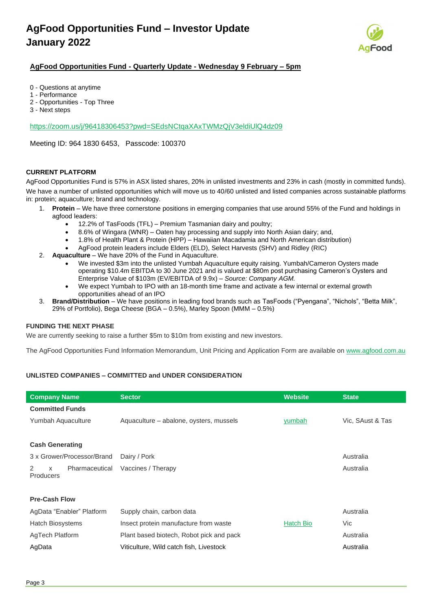

## **AgFood Opportunities Fund - Quarterly Update - Wednesday 9 February – 5pm**

- 0 Questions at anytime
- 1 Performance
- 2 Opportunities Top Three
- 3 Next steps

#### <https://zoom.us/j/96418306453?pwd=SEdsNCtqaXAxTWMzQjV3eldiUlQ4dz09>

Meeting ID: 964 1830 6453, Passcode: 100370

#### **CURRENT PLATFORM**

AgFood Opportunities Fund is 57% in ASX listed shares, 20% in unlisted investments and 23% in cash (mostly in committed funds). We have a number of unlisted opportunities which will move us to 40/60 unlisted and listed companies across sustainable platforms in: protein; aquaculture; brand and technology.

- 1. **Protein** We have three cornerstone positions in emerging companies that use around 55% of the Fund and holdings in agfood leaders:
	- 12.2% of TasFoods (TFL) Premium Tasmanian dairy and poultry;
	- 8.6% of Wingara (WNR) Oaten hay processing and supply into North Asian dairy; and,
	- 1.8% of Health Plant & Protein (HPP) Hawaiian Macadamia and North American distribution)
	- AgFood protein leaders include Elders (ELD), Select Harvests (SHV) and Ridley (RIC)
- 2. **Aquaculture** We have 20% of the Fund in Aquaculture.
	- We invested \$3m into the unlisted Yumbah Aquaculture equity raising. Yumbah/Cameron Oysters made operating \$10.4m EBITDA to 30 June 2021 and is valued at \$80m post purchasing Cameron's Oysters and Enterprise Value of \$103m (EV/EBITDA of 9.9x) – *Source: Company AGM.*
	- We expect Yumbah to IPO with an 18-month time frame and activate a few internal or external growth opportunities ahead of an IPO
- 3. **Brand/Distribution** We have positions in leading food brands such as TasFoods ("Pyengana", "Nichols", "Betta Milk", 29% of Portfolio), Bega Cheese (BGA – 0.5%), Marley Spoon (MMM – 0.5%)

#### **FUNDING THE NEXT PHASE**

We are currently seeking to raise a further \$5m to \$10m from existing and new investors.

The AgFood Opportunities Fund Information Memorandum, Unit Pricing and Application Form are available on [www.agfood.com.au](http://www.agfood.com.au/)

### **UNLISTED COMPANIES – COMMITTED and UNDER CONSIDERATION**

| <b>Company Name</b>                          | <b>Sector</b>                            | <b>Website</b> | <b>State</b>     |
|----------------------------------------------|------------------------------------------|----------------|------------------|
| <b>Committed Funds</b>                       |                                          |                |                  |
| Yumbah Aquaculture                           | Aquaculture – abalone, oysters, mussels  | yumbah         | Vic, SAust & Tas |
|                                              |                                          |                |                  |
| <b>Cash Generating</b>                       |                                          |                |                  |
| 3 x Grower/Processor/Brand                   | Dairy / Pork                             |                | Australia        |
| Pharmaceutical<br>2<br>$\times$<br>Producers | Vaccines / Therapy                       |                | Australia        |
|                                              |                                          |                |                  |
| <b>Pre-Cash Flow</b>                         |                                          |                |                  |
|                                              |                                          |                |                  |
| AgData "Enabler" Platform                    | Supply chain, carbon data                |                | Australia        |
| <b>Hatch Biosystems</b>                      | Insect protein manufacture from waste    | Hatch Bio      | Vic              |
| AgTech Platform                              | Plant based biotech, Robot pick and pack |                | Australia        |
| AgData                                       | Viticulture, Wild catch fish, Livestock  |                | Australia        |
|                                              |                                          |                |                  |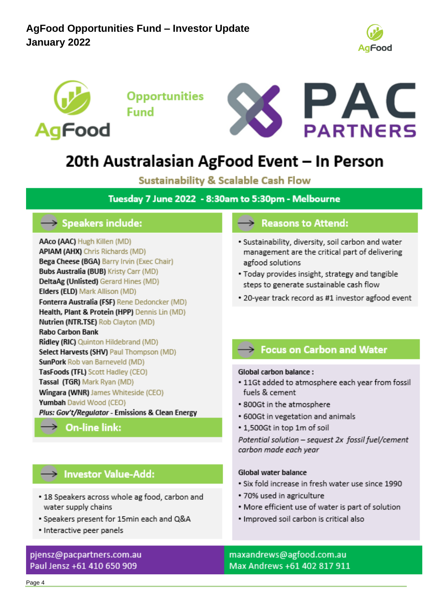



**Opportunities Fund** 



# 20th Australasian AgFood Event – In Person

**Sustainability & Scalable Cash Flow** 

Tuesday 7 June 2022 - 8:30am to 5:30pm - Melbourne

# $\rightarrow$  Speakers include:

AAco (AAC) Hugh Killen (MD) **APIAM (AHX)** Chris Richards (MD) Bega Cheese (BGA) Barry Irvin (Exec Chair) Bubs Australia (BUB) Kristy Carr (MD) DeltaAg (Unlisted) Gerard Hines (MD) Elders (ELD) Mark Allison (MD) Fonterra Australia (FSF) Rene Dedoncker (MD) Health, Plant & Protein (HPP) Dennis Lin (MD) Nutrien (NTR.TSE) Rob Clayton (MD) **Rabo Carbon Bank** Ridley (RIC) Quinton Hildebrand (MD) Select Harvests (SHV) Paul Thompson (MD) SunPork Rob van Barneveld (MD) TasFoods (TFL) Scott Hadley (CEO) Tassal (TGR) Mark Ryan (MD) Wingara (WNR) James Whiteside (CEO) Yumbah David Wood (CEO) Plus: Gov't/Regulator - Emissions & Clean Energy

 $\rightarrow$  On-line link:

# Investor Value-Add:

- 18 Speakers across whole ag food, carbon and water supply chains
- · Speakers present for 15min each and Q&A
- · Interactive peer panels

# pjensz@pacpartners.com.au Paul Jensz +61 410 650 909

# $\rightarrow$  Reasons to Attend:

- · Sustainability, diversity, soil carbon and water management are the critical part of delivering agfood solutions
- . Today provides insight, strategy and tangible steps to generate sustainable cash flow
- \* 20-year track record as #1 investor agfood event

# Socus on Carbon and Water

### Global carbon balance:

- . 11Gt added to atmosphere each year from fossil fuels & cement
- 800Gt in the atmosphere
- 600Gt in vegetation and animals
- 1,500Gt in top 1m of soil

Potential solution - sequest 2x fossil fuel/cement carbon made each year

# Global water balance

- · Six fold increase in fresh water use since 1990
- 70% used in agriculture
- . More efficient use of water is part of solution
- · Improved soil carbon is critical also

maxandrews@agfood.com.au Max Andrews +61 402 817 911